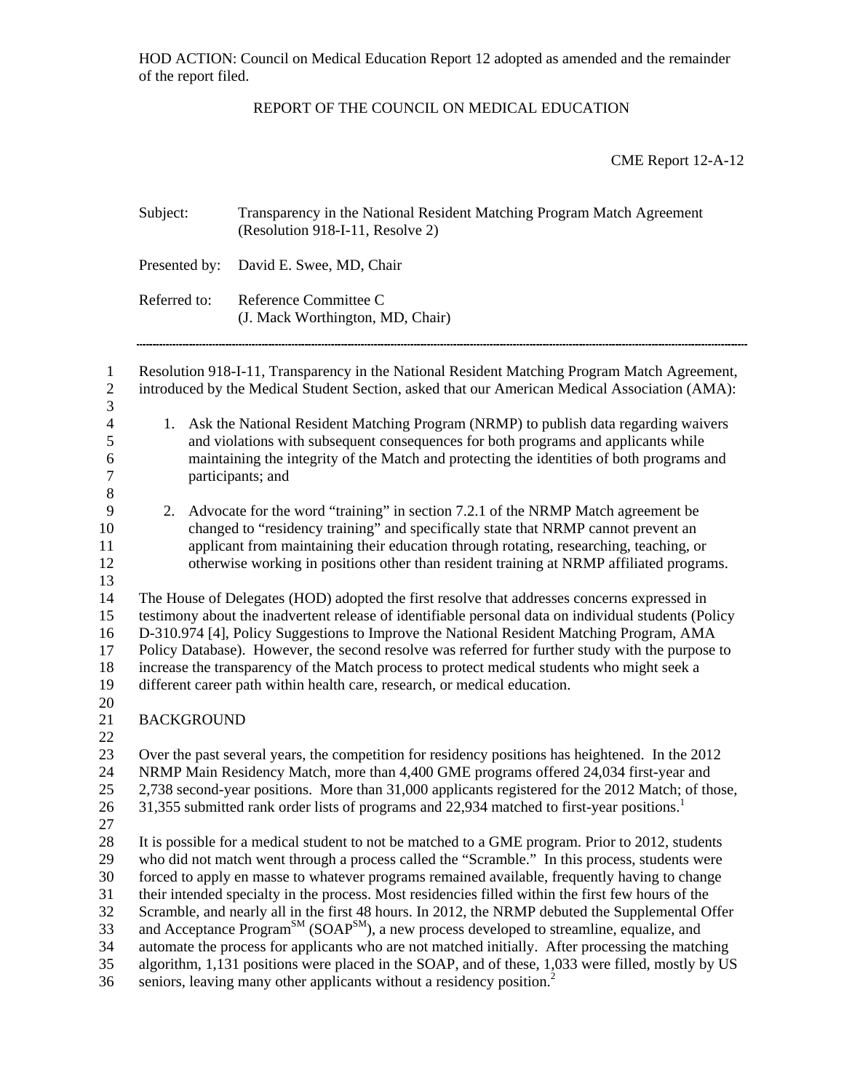HOD ACTION: Council on Medical Education Report 12 adopted as amended and the remainder of the report filed.

## REPORT OF THE COUNCIL ON MEDICAL EDUCATION

CME Report 12-A-12

|                                                                            | Subject:          | Transparency in the National Resident Matching Program Match Agreement<br>(Resolution 918-I-11, Resolve 2)                                                                                                                                                                                                                                                                                                                                                                                                                                                                                                                                                                                                                                                                                                                                 |
|----------------------------------------------------------------------------|-------------------|--------------------------------------------------------------------------------------------------------------------------------------------------------------------------------------------------------------------------------------------------------------------------------------------------------------------------------------------------------------------------------------------------------------------------------------------------------------------------------------------------------------------------------------------------------------------------------------------------------------------------------------------------------------------------------------------------------------------------------------------------------------------------------------------------------------------------------------------|
|                                                                            | Presented by:     | David E. Swee, MD, Chair                                                                                                                                                                                                                                                                                                                                                                                                                                                                                                                                                                                                                                                                                                                                                                                                                   |
|                                                                            | Referred to:      | Reference Committee C<br>(J. Mack Worthington, MD, Chair)                                                                                                                                                                                                                                                                                                                                                                                                                                                                                                                                                                                                                                                                                                                                                                                  |
| $\mathbf{1}$<br>$\sqrt{2}$<br>3                                            |                   | Resolution 918-I-11, Transparency in the National Resident Matching Program Match Agreement,<br>introduced by the Medical Student Section, asked that our American Medical Association (AMA):                                                                                                                                                                                                                                                                                                                                                                                                                                                                                                                                                                                                                                              |
| $\overline{\mathcal{L}}$<br>$\mathfrak{S}$<br>6<br>$\overline{7}$<br>$8\,$ | 1.                | Ask the National Resident Matching Program (NRMP) to publish data regarding waivers<br>and violations with subsequent consequences for both programs and applicants while<br>maintaining the integrity of the Match and protecting the identities of both programs and<br>participants; and                                                                                                                                                                                                                                                                                                                                                                                                                                                                                                                                                |
| $\overline{9}$<br>10<br>11<br>12<br>13                                     | 2.                | Advocate for the word "training" in section 7.2.1 of the NRMP Match agreement be<br>changed to "residency training" and specifically state that NRMP cannot prevent an<br>applicant from maintaining their education through rotating, researching, teaching, or<br>otherwise working in positions other than resident training at NRMP affiliated programs.                                                                                                                                                                                                                                                                                                                                                                                                                                                                               |
| 14<br>15<br>16<br>17<br>18<br>19<br>20                                     |                   | The House of Delegates (HOD) adopted the first resolve that addresses concerns expressed in<br>testimony about the inadvertent release of identifiable personal data on individual students (Policy<br>D-310.974 [4], Policy Suggestions to Improve the National Resident Matching Program, AMA<br>Policy Database). However, the second resolve was referred for further study with the purpose to<br>increase the transparency of the Match process to protect medical students who might seek a<br>different career path within health care, research, or medical education.                                                                                                                                                                                                                                                            |
| 21                                                                         | <b>BACKGROUND</b> |                                                                                                                                                                                                                                                                                                                                                                                                                                                                                                                                                                                                                                                                                                                                                                                                                                            |
| 22<br>23<br>24<br>25<br>26<br>27                                           |                   | Over the past several years, the competition for residency positions has heightened. In the 2012<br>NRMP Main Residency Match, more than 4,400 GME programs offered 24,034 first-year and<br>2,738 second-year positions. More than 31,000 applicants registered for the 2012 Match; of those,<br>31,355 submitted rank order lists of programs and 22,934 matched to first-year positions.                                                                                                                                                                                                                                                                                                                                                                                                                                                |
| 28<br>29<br>30<br>31<br>32<br>33<br>34<br>35                               |                   | It is possible for a medical student to not be matched to a GME program. Prior to 2012, students<br>who did not match went through a process called the "Scramble." In this process, students were<br>forced to apply en masse to whatever programs remained available, frequently having to change<br>their intended specialty in the process. Most residencies filled within the first few hours of the<br>Scramble, and nearly all in the first 48 hours. In 2012, the NRMP debuted the Supplemental Offer<br>and Acceptance Program <sup>SM</sup> (SOAP <sup>SM</sup> ), a new process developed to streamline, equalize, and<br>automate the process for applicants who are not matched initially. After processing the matching<br>algorithm, 1,131 positions were placed in the SOAP, and of these, 1,033 were filled, mostly by US |

36 seniors, leaving many other applicants without a residency position.<sup>2</sup>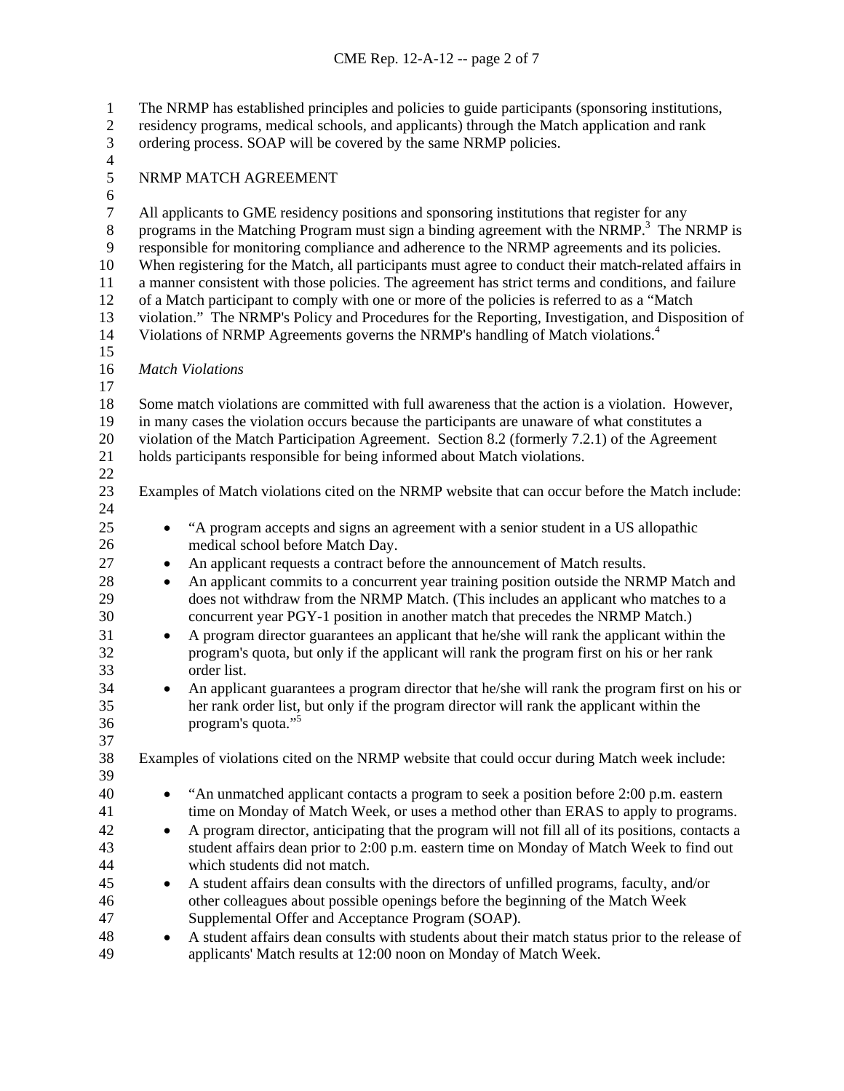The NRMP has established principles and policies to guide participants (sponsoring institutions, residency programs, medical schools, and applicants) through the Match application and rank ordering process. SOAP will be covered by the same NRMP policies. 1 2 3 4 5 6 7 8 9 10 11 12 13 14 15 16 17 18 19 20 21 22 23 24 25 26 27 28 29 30 31 32 33 34 35 36 37 38 39 40 41 42 43 44 45 46 47 48 49 NRMP MATCH AGREEMENT All applicants to GME residency positions and sponsoring institutions that register for any programs in the Matching Program must sign a binding agreement with the NRMP.<sup>3</sup> The NRMP is responsible for monitoring compliance and adherence to the NRMP agreements and its policies. When registering for the Match, all participants must agree to conduct their match-related affairs in a manner consistent with those policies. The agreement has strict terms and conditions, and failure of a Match participant to comply with one or more of the policies is referred to as a "Match violation." The NRMP's Policy and Procedures for the Reporting, Investigation, and Disposition of Violations of NRMP Agreements governs the NRMP's handling of Match violations.<sup>4</sup> *Match Violations*  Some match violations are committed with full awareness that the action is a violation. However, in many cases the violation occurs because the participants are unaware of what constitutes a violation of the Match Participation Agreement. Section 8.2 (formerly 7.2.1) of the Agreement holds participants responsible for being informed about Match violations. Examples of Match violations cited on the NRMP website that can occur before the Match include: "A program accepts and signs an agreement with a senior student in a US allopathic medical school before Match Day. An applicant requests a contract before the announcement of Match results. An applicant commits to a concurrent year training position outside the NRMP Match and does not withdraw from the NRMP Match. (This includes an applicant who matches to a concurrent year PGY-1 position in another match that precedes the NRMP Match.) A program director guarantees an applicant that he/she will rank the applicant within the program's quota, but only if the applicant will rank the program first on his or her rank order list. An applicant guarantees a program director that he/she will rank the program first on his or her rank order list, but only if the program director will rank the applicant within the program's quota."5 Examples of violations cited on the NRMP website that could occur during Match week include: • "An unmatched applicant contacts a program to seek a position before 2:00 p.m. eastern time on Monday of Match Week, or uses a method other than ERAS to apply to programs. A program director, anticipating that the program will not fill all of its positions, contacts a student affairs dean prior to 2:00 p.m. eastern time on Monday of Match Week to find out which students did not match. A student affairs dean consults with the directors of unfilled programs, faculty, and/or other colleagues about possible openings before the beginning of the Match Week Supplemental Offer and Acceptance Program (SOAP). A student affairs dean consults with students about their match status prior to the release of applicants' Match results at 12:00 noon on Monday of Match Week.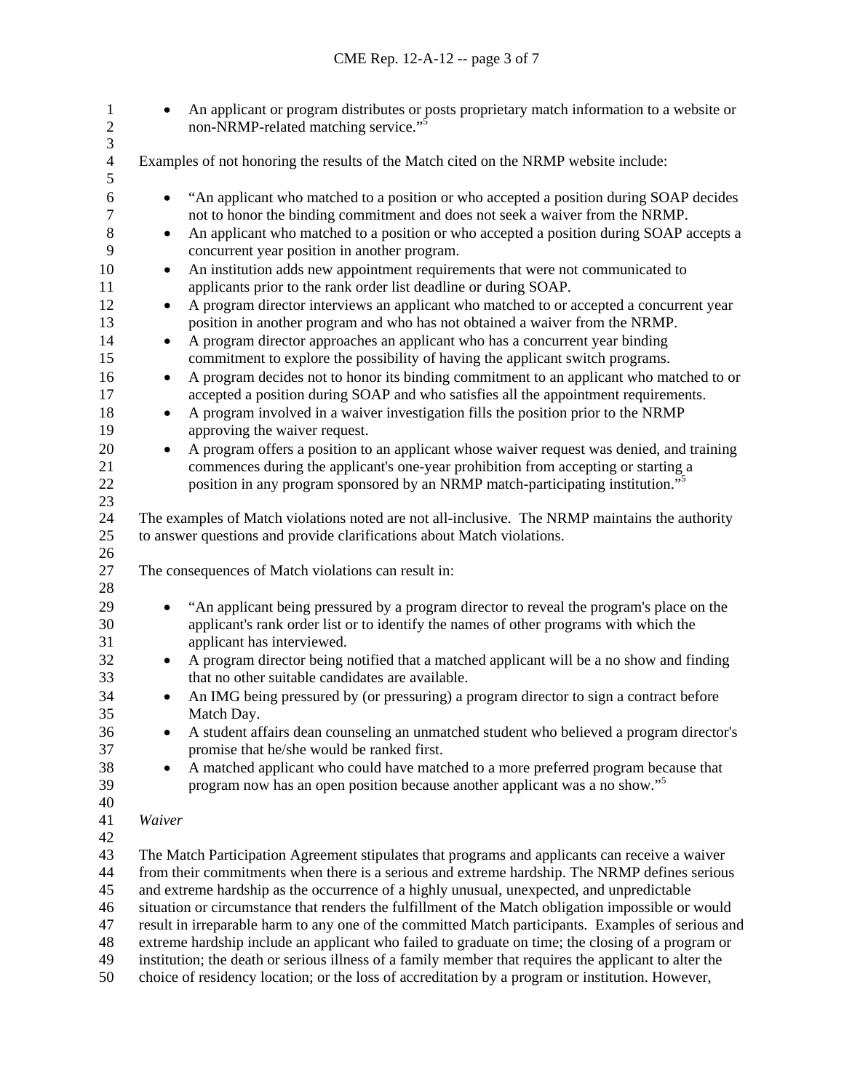| $\mathbf{1}$<br>$\overline{c}$     | An applicant or program distributes or posts proprietary match information to a website or<br>$\bullet$<br>non-NRMP-related matching service." <sup>5</sup>                                                                                                                                                    |  |  |
|------------------------------------|----------------------------------------------------------------------------------------------------------------------------------------------------------------------------------------------------------------------------------------------------------------------------------------------------------------|--|--|
| 3<br>$\overline{\mathcal{L}}$<br>5 | Examples of not honoring the results of the Match cited on the NRMP website include:                                                                                                                                                                                                                           |  |  |
| 6<br>$\tau$                        | "An applicant who matched to a position or who accepted a position during SOAP decides<br>٠<br>not to honor the binding commitment and does not seek a waiver from the NRMP.                                                                                                                                   |  |  |
| 8<br>9                             | An applicant who matched to a position or who accepted a position during SOAP accepts a<br>٠<br>concurrent year position in another program.                                                                                                                                                                   |  |  |
| 10<br>11                           | An institution adds new appointment requirements that were not communicated to<br>$\bullet$<br>applicants prior to the rank order list deadline or during SOAP.                                                                                                                                                |  |  |
| 12<br>13<br>14                     | A program director interviews an applicant who matched to or accepted a concurrent year<br>٠<br>position in another program and who has not obtained a waiver from the NRMP.<br>A program director approaches an applicant who has a concurrent year binding<br>$\bullet$                                      |  |  |
| 15<br>16                           | commitment to explore the possibility of having the applicant switch programs.<br>A program decides not to honor its binding commitment to an applicant who matched to or<br>$\bullet$                                                                                                                         |  |  |
| 17<br>18                           | accepted a position during SOAP and who satisfies all the appointment requirements.<br>A program involved in a waiver investigation fills the position prior to the NRMP<br>٠                                                                                                                                  |  |  |
| 19<br>20                           | approving the waiver request.<br>A program offers a position to an applicant whose waiver request was denied, and training<br>٠                                                                                                                                                                                |  |  |
| 21<br>22<br>23                     | commences during the applicant's one-year prohibition from accepting or starting a<br>position in any program sponsored by an NRMP match-participating institution." <sup>5</sup>                                                                                                                              |  |  |
| 24<br>25<br>26                     | The examples of Match violations noted are not all-inclusive. The NRMP maintains the authority<br>to answer questions and provide clarifications about Match violations.                                                                                                                                       |  |  |
| 27<br>28                           | The consequences of Match violations can result in:                                                                                                                                                                                                                                                            |  |  |
| 29<br>30<br>31                     | "An applicant being pressured by a program director to reveal the program's place on the<br>٠<br>applicant's rank order list or to identify the names of other programs with which the<br>applicant has interviewed.                                                                                           |  |  |
| 32<br>33                           | A program director being notified that a matched applicant will be a no show and finding<br>٠<br>that no other suitable candidates are available.                                                                                                                                                              |  |  |
| 34<br>35                           | An IMG being pressured by (or pressuring) a program director to sign a contract before<br>Match Day.                                                                                                                                                                                                           |  |  |
| 36<br>37                           | A student affairs dean counseling an unmatched student who believed a program director's<br>promise that he/she would be ranked first.                                                                                                                                                                         |  |  |
| 38<br>39<br>40                     | A matched applicant who could have matched to a more preferred program because that<br>٠<br>program now has an open position because another applicant was a no show." <sup>5</sup>                                                                                                                            |  |  |
| 41<br>42                           | Waiver                                                                                                                                                                                                                                                                                                         |  |  |
| 43<br>44<br>45                     | The Match Participation Agreement stipulates that programs and applicants can receive a waiver<br>from their commitments when there is a serious and extreme hardship. The NRMP defines serious<br>and extreme hardship as the occurrence of a highly unusual, unexpected, and unpredictable                   |  |  |
| 46<br>47                           | situation or circumstance that renders the fulfillment of the Match obligation impossible or would<br>result in irreparable harm to any one of the committed Match participants. Examples of serious and                                                                                                       |  |  |
| 48<br>49<br>50                     | extreme hardship include an applicant who failed to graduate on time; the closing of a program or<br>institution; the death or serious illness of a family member that requires the applicant to alter the<br>choice of residency location; or the loss of accreditation by a program or institution. However, |  |  |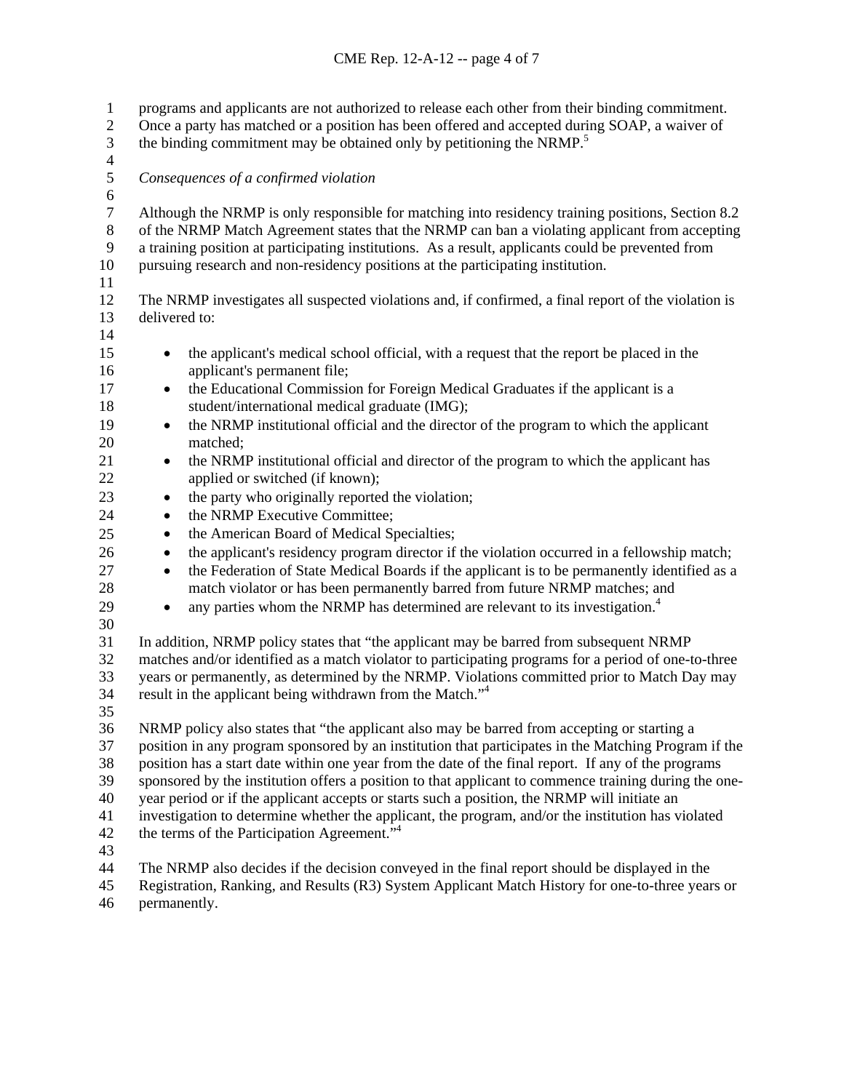programs and applicants are not authorized to release each other from their binding commitment. Once a party has matched or a position has been offered and accepted during SOAP, a waiver of the binding commitment may be obtained only by petitioning the NRMP.<sup>5</sup> 1 2 3 4 5 6 7 8 9 10 11 12 13 14 15 16 17 18 19 20 21 22 23 24 25 26 27 28 29 30 31 32 33 34 35 36 37 38 39 40 41 42 43 44 45 *Consequences of a confirmed violation*  Although the NRMP is only responsible for matching into residency training positions, Section 8.2 of the NRMP Match Agreement states that the NRMP can ban a violating applicant from accepting a training position at participating institutions. As a result, applicants could be prevented from pursuing research and non-residency positions at the participating institution. The NRMP investigates all suspected violations and, if confirmed, a final report of the violation is delivered to: • the applicant's medical school official, with a request that the report be placed in the applicant's permanent file; the Educational Commission for Foreign Medical Graduates if the applicant is a student/international medical graduate (IMG); • the NRMP institutional official and the director of the program to which the applicant matched; • the NRMP institutional official and director of the program to which the applicant has applied or switched (if known); • the party who originally reported the violation; the NRMP Executive Committee; • the American Board of Medical Specialties; the applicant's residency program director if the violation occurred in a fellowship match; the Federation of State Medical Boards if the applicant is to be permanently identified as a match violator or has been permanently barred from future NRMP matches; and • any parties whom the NRMP has determined are relevant to its investigation.<sup>4</sup> In addition, NRMP policy states that "the applicant may be barred from subsequent NRMP matches and/or identified as a match violator to participating programs for a period of one-to-three years or permanently, as determined by the NRMP. Violations committed prior to Match Day may result in the applicant being withdrawn from the Match."<sup>4</sup> NRMP policy also states that "the applicant also may be barred from accepting or starting a position in any program sponsored by an institution that participates in the Matching Program if the position has a start date within one year from the date of the final report. If any of the programs sponsored by the institution offers a position to that applicant to commence training during the oneyear period or if the applicant accepts or starts such a position, the NRMP will initiate an investigation to determine whether the applicant, the program, and/or the institution has violated the terms of the Participation Agreement."4 The NRMP also decides if the decision conveyed in the final report should be displayed in the Registration, Ranking, and Results (R3) System Applicant Match History for one-to-three years or

46 permanently.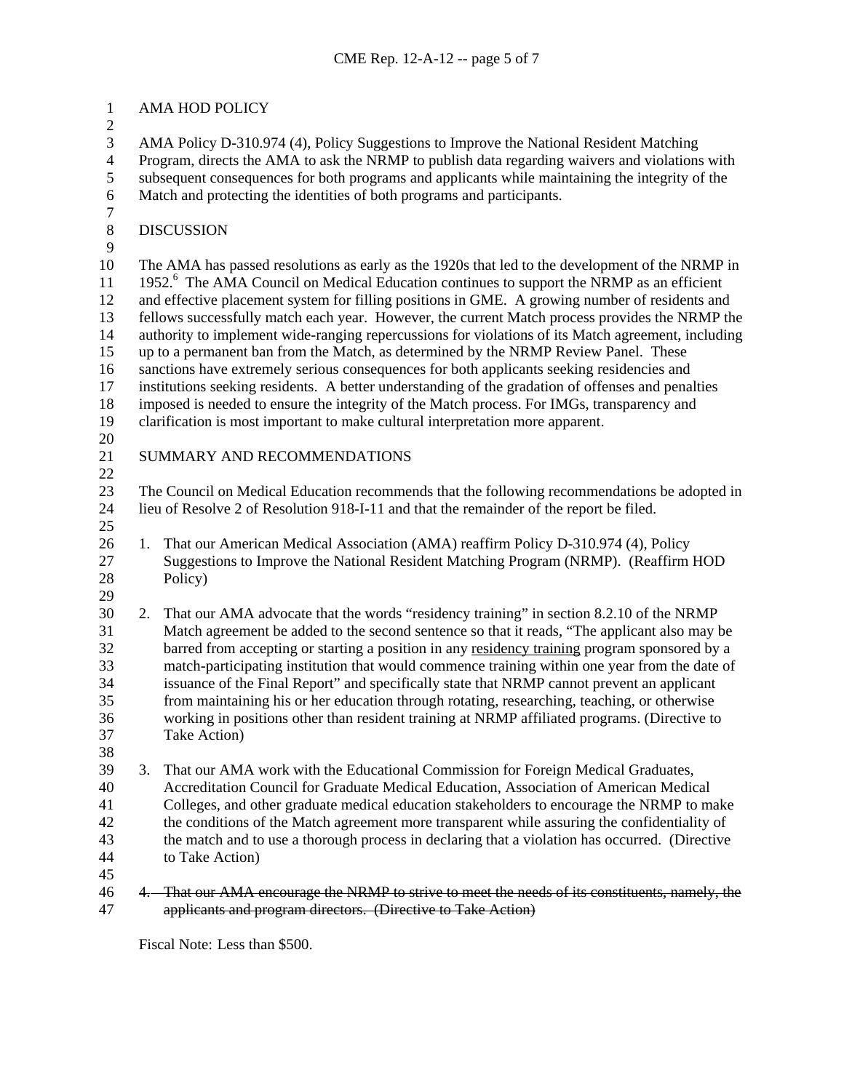| $\mathbf{1}$        |                                                                                                | AMA HOD POLICY                                                                                                                                                                                 |  |
|---------------------|------------------------------------------------------------------------------------------------|------------------------------------------------------------------------------------------------------------------------------------------------------------------------------------------------|--|
| $\overline{c}$<br>3 |                                                                                                | AMA Policy D-310.974 (4), Policy Suggestions to Improve the National Resident Matching                                                                                                         |  |
| $\overline{4}$      |                                                                                                | Program, directs the AMA to ask the NRMP to publish data regarding waivers and violations with                                                                                                 |  |
| $\mathfrak s$       |                                                                                                | subsequent consequences for both programs and applicants while maintaining the integrity of the                                                                                                |  |
| $\sqrt{6}$          |                                                                                                | Match and protecting the identities of both programs and participants.                                                                                                                         |  |
| $\boldsymbol{7}$    |                                                                                                |                                                                                                                                                                                                |  |
| $8\,$               |                                                                                                | <b>DISCUSSION</b>                                                                                                                                                                              |  |
| 9                   |                                                                                                |                                                                                                                                                                                                |  |
| 10                  |                                                                                                | The AMA has passed resolutions as early as the 1920s that led to the development of the NRMP in                                                                                                |  |
| 11                  |                                                                                                | 1952. <sup>6</sup> The AMA Council on Medical Education continues to support the NRMP as an efficient                                                                                          |  |
| 12                  | and effective placement system for filling positions in GME. A growing number of residents and |                                                                                                                                                                                                |  |
| 13                  | fellows successfully match each year. However, the current Match process provides the NRMP the |                                                                                                                                                                                                |  |
| 14                  |                                                                                                | authority to implement wide-ranging repercussions for violations of its Match agreement, including                                                                                             |  |
| 15                  |                                                                                                | up to a permanent ban from the Match, as determined by the NRMP Review Panel. These                                                                                                            |  |
| 16                  |                                                                                                | sanctions have extremely serious consequences for both applicants seeking residencies and                                                                                                      |  |
| 17                  |                                                                                                | institutions seeking residents. A better understanding of the gradation of offenses and penalties                                                                                              |  |
| 18                  |                                                                                                | imposed is needed to ensure the integrity of the Match process. For IMGs, transparency and                                                                                                     |  |
| 19                  |                                                                                                | clarification is most important to make cultural interpretation more apparent.                                                                                                                 |  |
| 20                  |                                                                                                |                                                                                                                                                                                                |  |
| 21                  |                                                                                                | SUMMARY AND RECOMMENDATIONS                                                                                                                                                                    |  |
| 22                  |                                                                                                |                                                                                                                                                                                                |  |
| 23                  |                                                                                                | The Council on Medical Education recommends that the following recommendations be adopted in                                                                                                   |  |
| 24                  |                                                                                                | lieu of Resolve 2 of Resolution 918-I-11 and that the remainder of the report be filed.                                                                                                        |  |
| 25                  |                                                                                                |                                                                                                                                                                                                |  |
| 26                  | 1.                                                                                             | That our American Medical Association (AMA) reaffirm Policy D-310.974 (4), Policy                                                                                                              |  |
| 27                  |                                                                                                | Suggestions to Improve the National Resident Matching Program (NRMP). (Reaffirm HOD                                                                                                            |  |
| 28                  |                                                                                                | Policy)                                                                                                                                                                                        |  |
| 29                  |                                                                                                |                                                                                                                                                                                                |  |
| 30                  | 2.                                                                                             | That our AMA advocate that the words "residency training" in section 8.2.10 of the NRMP                                                                                                        |  |
| 31<br>32            |                                                                                                | Match agreement be added to the second sentence so that it reads, "The applicant also may be                                                                                                   |  |
| 33                  |                                                                                                | barred from accepting or starting a position in any residency training program sponsored by a<br>match-participating institution that would commence training within one year from the date of |  |
| 34                  |                                                                                                | issuance of the Final Report" and specifically state that NRMP cannot prevent an applicant                                                                                                     |  |
| 35                  |                                                                                                | from maintaining his or her education through rotating, researching, teaching, or otherwise                                                                                                    |  |
| 36                  |                                                                                                | working in positions other than resident training at NRMP affiliated programs. (Directive to                                                                                                   |  |
| 37                  |                                                                                                | Take Action)                                                                                                                                                                                   |  |
| 38                  |                                                                                                |                                                                                                                                                                                                |  |
| 39                  | 3.                                                                                             | That our AMA work with the Educational Commission for Foreign Medical Graduates,                                                                                                               |  |
| 40                  |                                                                                                | Accreditation Council for Graduate Medical Education, Association of American Medical                                                                                                          |  |
| 41                  |                                                                                                | Colleges, and other graduate medical education stakeholders to encourage the NRMP to make                                                                                                      |  |
| 42                  |                                                                                                | the conditions of the Match agreement more transparent while assuring the confidentiality of                                                                                                   |  |
| 43                  |                                                                                                | the match and to use a thorough process in declaring that a violation has occurred. (Directive                                                                                                 |  |
| 44                  |                                                                                                | to Take Action)                                                                                                                                                                                |  |
| 45                  |                                                                                                |                                                                                                                                                                                                |  |
| 46                  |                                                                                                | 4. That our AMA encourage the NRMP to strive to meet the needs of its constituents, namely, the                                                                                                |  |
| 47                  |                                                                                                | applicants and program directors. (Directive to Take Action)                                                                                                                                   |  |

Fiscal Note: Less than \$500.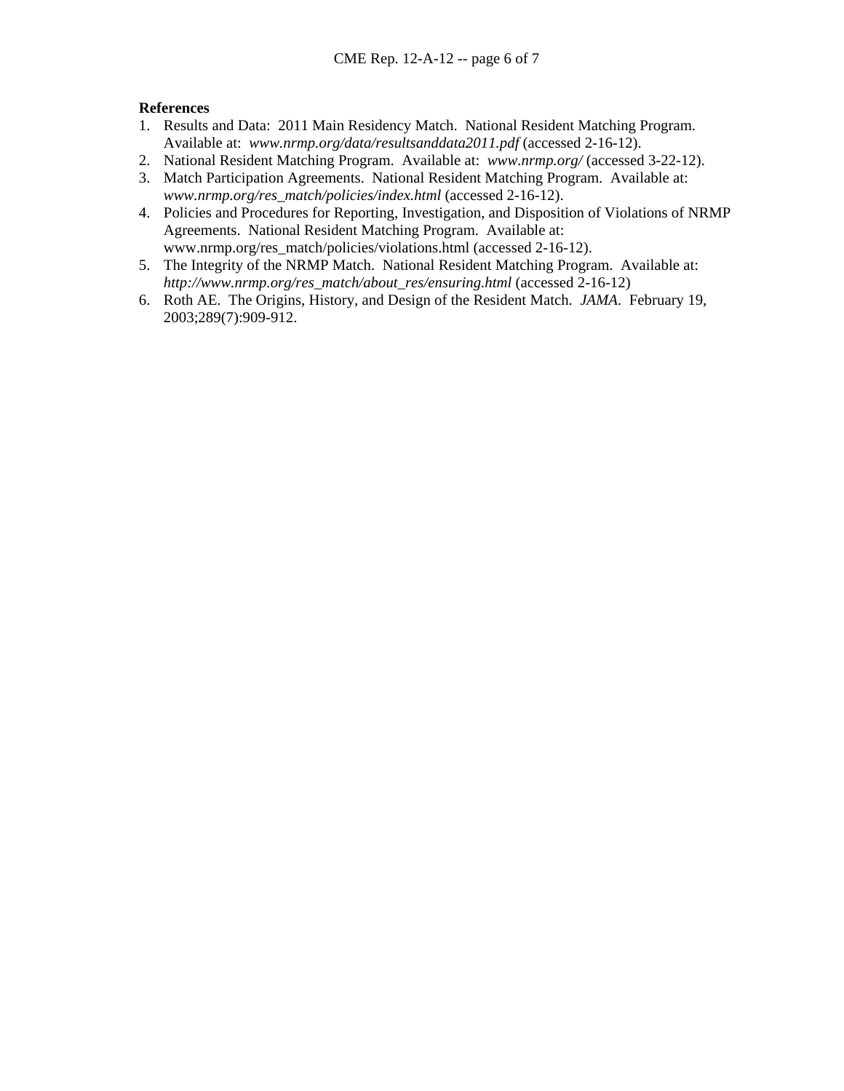## **References**

- 1. Results and Data: 2011 Main Residency Match. National Resident Matching Program. Available at: *www.nrmp.org/data/resultsanddata2011.pdf* (accessed 2-16-12).
- 2. National Resident Matching Program. Available at: *www.nrmp.org/* (accessed 3-22-12).
- 3. Match Participation Agreements. National Resident Matching Program. Available at: *www.nrmp.org/res\_match/policies/index.html* (accessed 2-16-12).
- 4. Policies and Procedures for Reporting, Investigation, and Disposition of Violations of NRMP Agreements. National Resident Matching Program. Available at: www.nrmp.org/res\_match/policies/violations.html (accessed 2-16-12).
- 5. The Integrity of the NRMP Match. National Resident Matching Program. Available at: *[http://www.nrmp.org/res\\_match/about\\_res/ensuring.html](http://www.nrmp.org/res_match/about_res/ensuring.html)* (accessed 2-16-12)
- 6. Roth AE. The Origins, History, and Design of the Resident Match. *JAMA*. February 19, 2003;289(7):909-912.